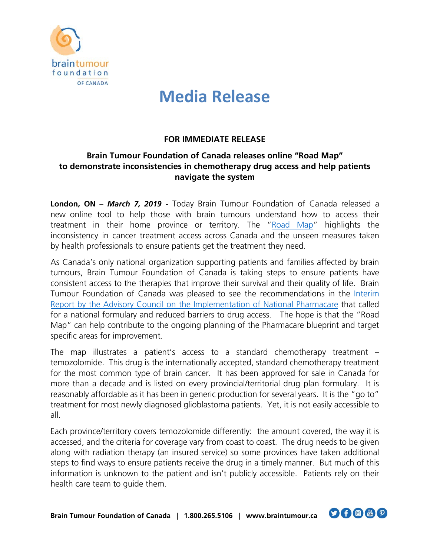

# **Media Release**

### **FOR IMMEDIATE RELEASE**

### **Brain Tumour Foundation of Canada releases online "Road Map" to demonstrate inconsistencies in chemotherapy drug access and help patients navigate the system**

**London, ON** – *March 7, 2019 -* Today Brain Tumour Foundation of Canada released a new online tool to help those with brain tumours understand how to access their treatment in their home province or territory. The ["Road](https://www.braintumour.ca/13431/tmz-map) Map" highlights the inconsistency in cancer treatment access across Canada and the unseen measures taken by health professionals to ensure patients get the treatment they need.

As Canada's only national organization supporting patients and families affected by brain tumours, Brain Tumour Foundation of Canada is taking steps to ensure patients have consistent access to the therapies that improve their survival and their quality of life. Brain Tumour Foundation of Canada was pleased to see the recommendations in the [Interim](https://www.braintumour.ca/13431/tmz-map)  Report [by the Advisory Council on the Implementation of National Pharmacare](https://www.braintumour.ca/13431/tmz-map) that called for a national formulary and reduced barriers to drug access. The hope is that the "Road Map" can help contribute to the ongoing planning of the Pharmacare blueprint and target specific areas for improvement.

The map illustrates a patient's access to a standard chemotherapy treatment – temozolomide. This drug is the internationally accepted, standard chemotherapy treatment for the most common type of brain cancer. It has been approved for sale in Canada for more than a decade and is listed on every provincial/territorial drug plan formulary. It is reasonably affordable as it has been in generic production for several years. It is the "go to" treatment for most newly diagnosed glioblastoma patients. Yet, it is not easily accessible to all.

Each province/territory covers temozolomide differently: the amount covered, the way it is accessed, and the criteria for coverage vary from coast to coast. The drug needs to be given along with radiation therapy (an insured service) so some provinces have taken additional steps to find ways to ensure patients receive the drug in a timely manner. But much of this information is unknown to the patient and isn't publicly accessible. Patients rely on their health care team to guide them.